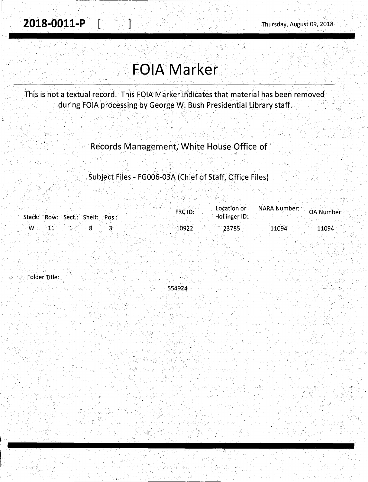# **FOIA Marker**

This is not a textual record. This FOIA Marker indicates that material has been removed during FOIA processing by George W. Bush Presidential Library staff.

### Records Management, White House Office of

## Subject Files - FG006-03A (Chief of Staff, Office Files)

|             |                                 | $FRC$ $ID:$ | Location or   | <b>NARA Number:</b> | <b>OA Number:</b> |
|-------------|---------------------------------|-------------|---------------|---------------------|-------------------|
|             | Stack: Row: Sect.: Shelf: Pos.: |             | Hollinger ID: |                     |                   |
| $W_{\cdot}$ |                                 | 10922       | $23785$       | 11094               | 11094             |

Folder Title:

554924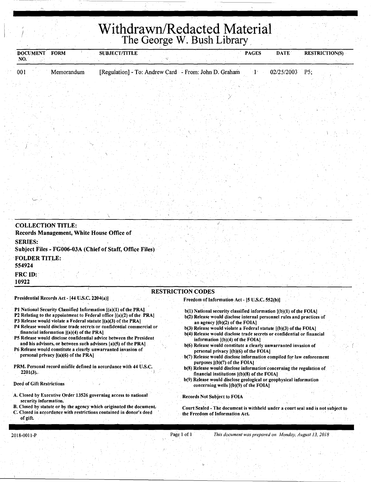# <sup>I</sup>**Withdrawn/Redacted Material**  The George W. Bush Library

| <b>DOCUMENT</b><br>NO.         | <b>FORM</b>                                    | <b>SUBJECT/TITLE</b>                                                                                                                                                                                                                                                                                                                                      |                                                                                                                                                                                                                                                                                                                                                                      | <b>PAGES</b> | <b>DATE</b> | <b>RESTRICTION(S)</b> |
|--------------------------------|------------------------------------------------|-----------------------------------------------------------------------------------------------------------------------------------------------------------------------------------------------------------------------------------------------------------------------------------------------------------------------------------------------------------|----------------------------------------------------------------------------------------------------------------------------------------------------------------------------------------------------------------------------------------------------------------------------------------------------------------------------------------------------------------------|--------------|-------------|-----------------------|
| 001                            | Memorandum                                     | [Regulation] - To: Andrew Card - From: John D. Graham                                                                                                                                                                                                                                                                                                     |                                                                                                                                                                                                                                                                                                                                                                      |              | 02/25/2003  | P5                    |
|                                |                                                |                                                                                                                                                                                                                                                                                                                                                           |                                                                                                                                                                                                                                                                                                                                                                      |              |             |                       |
|                                |                                                |                                                                                                                                                                                                                                                                                                                                                           |                                                                                                                                                                                                                                                                                                                                                                      |              |             |                       |
|                                |                                                |                                                                                                                                                                                                                                                                                                                                                           |                                                                                                                                                                                                                                                                                                                                                                      |              |             |                       |
|                                |                                                |                                                                                                                                                                                                                                                                                                                                                           |                                                                                                                                                                                                                                                                                                                                                                      |              |             |                       |
|                                |                                                |                                                                                                                                                                                                                                                                                                                                                           |                                                                                                                                                                                                                                                                                                                                                                      |              |             |                       |
|                                |                                                |                                                                                                                                                                                                                                                                                                                                                           |                                                                                                                                                                                                                                                                                                                                                                      |              |             |                       |
|                                |                                                |                                                                                                                                                                                                                                                                                                                                                           |                                                                                                                                                                                                                                                                                                                                                                      |              |             |                       |
|                                |                                                |                                                                                                                                                                                                                                                                                                                                                           |                                                                                                                                                                                                                                                                                                                                                                      |              |             |                       |
| <b>COLLECTION TITLE:</b>       | Records Management, White House Office of      |                                                                                                                                                                                                                                                                                                                                                           |                                                                                                                                                                                                                                                                                                                                                                      |              |             |                       |
| <b>SERIES:</b>                 |                                                | Subject Files - FG006-03A (Chief of Staff, Office Files)                                                                                                                                                                                                                                                                                                  |                                                                                                                                                                                                                                                                                                                                                                      |              |             |                       |
| <b>FOLDER TITLE:</b><br>554924 |                                                |                                                                                                                                                                                                                                                                                                                                                           |                                                                                                                                                                                                                                                                                                                                                                      |              |             |                       |
| FRC <sub>ID:</sub><br>10922    |                                                |                                                                                                                                                                                                                                                                                                                                                           |                                                                                                                                                                                                                                                                                                                                                                      |              |             |                       |
|                                |                                                |                                                                                                                                                                                                                                                                                                                                                           | <b>RESTRICTION CODES</b>                                                                                                                                                                                                                                                                                                                                             |              |             |                       |
|                                | Presidential Records Act - [44 U.S.C. 2204(a)] |                                                                                                                                                                                                                                                                                                                                                           | Freedom of Information Act - [5 U.S.C. 552(b)]                                                                                                                                                                                                                                                                                                                       |              |             |                       |
|                                | financial information $[(a)(4)$ of the PRA]    | P1 National Security Classified Information [(a)(1) of the PRA]<br>P2 Relating to the appointment to Federal office [(a)(2) of the PRA]<br>P3 Release would violate a Federal statute [(a)(3) of the PRA]<br>P4 Release would disclose trade secrets or confidential commercial or<br>P5 Release would disclose confidential advice between the President | b(1) National security classified information [(b)(1) of the FOIA]<br>b(2) Release would disclose internal personnel rules and practices of<br>an agency $[(b)(2)$ of the FOIA]<br>$b(3)$ Release would violate a Federal statute $(6)(3)$ of the FOIA<br>b(4) Release would disclose trade secrets or confidential or financial<br>information [(b)(4) of the EOIA1 |              |             |                       |

- and his advisors, or between such advisors [a)(S) of the PRA) P6 Release would constitute a clearly unwarranted invasion of
- personal privacy [(a)(6) of the PRA)
- PRM. Personal record misfile defined in accordance with 44 U.S.C.  $2201(3)$ .

### Deed of Gift Restrictions

- A. Closed by Executive Order 13526 governing access to national security information.
- B. Closed by statute or by the agency which originated the document. **C.** Closed in accordance with restrictions contained in donor's deed of gift.
- information [(b)(4) of the FOIA)
- b(6) Release would constitute a clearly unwarranted invasion of personal privacy [(b)(6) of the FOIA]
- $b(7)$  Release would disclose information compiled for law enforcement purposes ((b)(7) of the FOIA)
- b(8) Release would disclose information concerning the regulation of financial institutions [(b)(8) of the FOIA)
- b(9) Release would disclose geological or geophysical information concerning wells [(b)(9) of the FOIA)

### Records Not Subject to FOIA

Court Sealed - The document is withheld under a court seal and is not subject to the Freedom of Information Act.